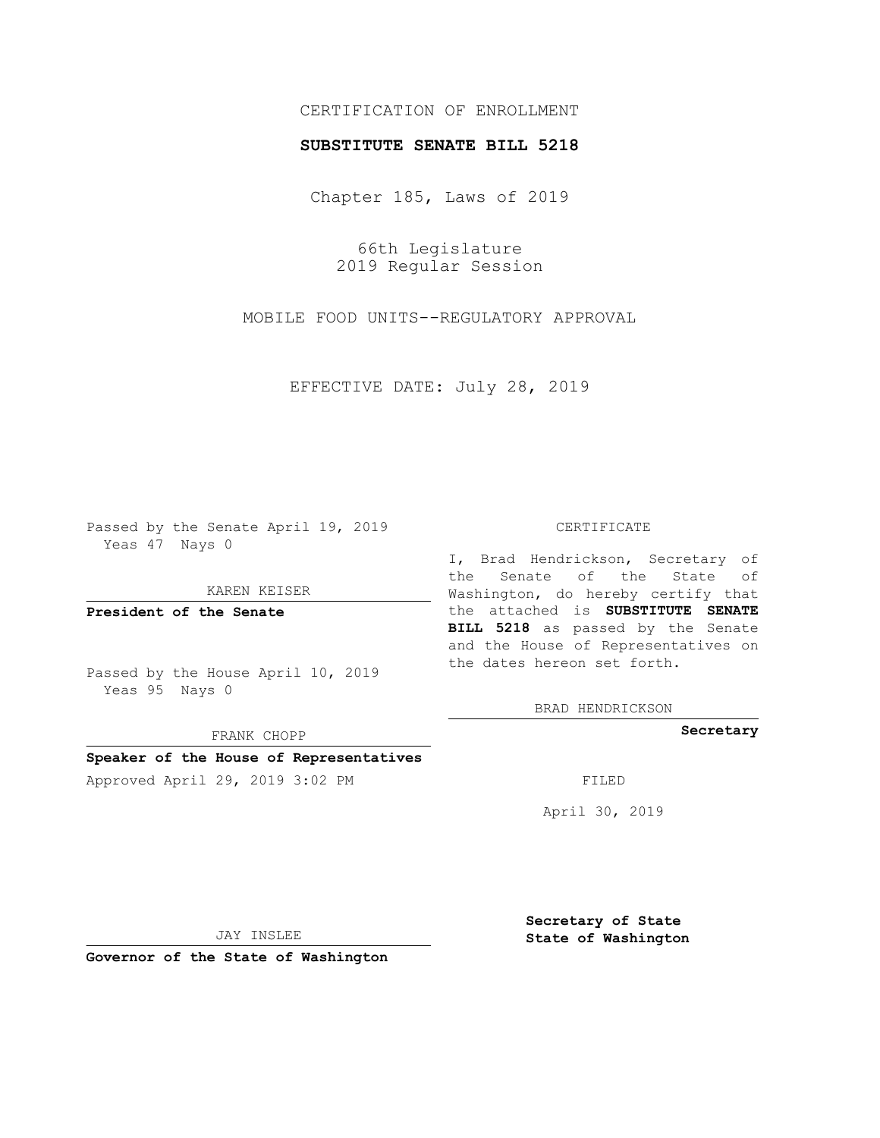## CERTIFICATION OF ENROLLMENT

### **SUBSTITUTE SENATE BILL 5218**

Chapter 185, Laws of 2019

66th Legislature 2019 Regular Session

MOBILE FOOD UNITS--REGULATORY APPROVAL

EFFECTIVE DATE: July 28, 2019

Passed by the Senate April 19, 2019 Yeas 47 Nays 0

KAREN KEISER

**President of the Senate**

Passed by the House April 10, 2019 Yeas 95 Nays 0

FRANK CHOPP

# **Speaker of the House of Representatives**

Approved April 29, 2019 3:02 PM FILED

#### CERTIFICATE

I, Brad Hendrickson, Secretary of the Senate of the State of Washington, do hereby certify that the attached is **SUBSTITUTE SENATE BILL 5218** as passed by the Senate and the House of Representatives on the dates hereon set forth.

BRAD HENDRICKSON

**Secretary**

April 30, 2019

JAY INSLEE

**Governor of the State of Washington**

**Secretary of State State of Washington**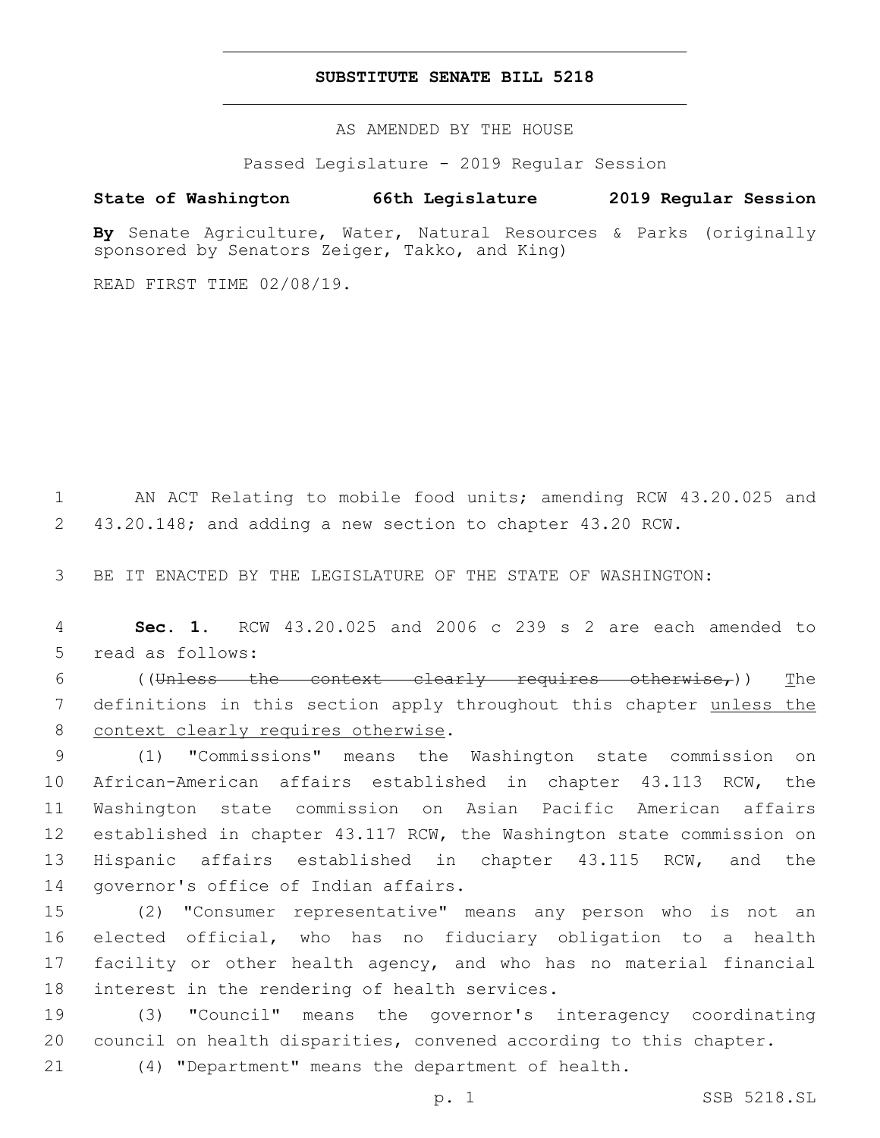### **SUBSTITUTE SENATE BILL 5218**

AS AMENDED BY THE HOUSE

Passed Legislature - 2019 Regular Session

# **State of Washington 66th Legislature 2019 Regular Session**

**By** Senate Agriculture, Water, Natural Resources & Parks (originally sponsored by Senators Zeiger, Takko, and King)

READ FIRST TIME 02/08/19.

1 AN ACT Relating to mobile food units; amending RCW 43.20.025 and 2 43.20.148; and adding a new section to chapter 43.20 RCW.

3 BE IT ENACTED BY THE LEGISLATURE OF THE STATE OF WASHINGTON:

4 **Sec. 1.** RCW 43.20.025 and 2006 c 239 s 2 are each amended to 5 read as follows:

6 ((Unless the context clearly requires otherwise,)) The 7 definitions in this section apply throughout this chapter unless the 8 context clearly requires otherwise.

 (1) "Commissions" means the Washington state commission on African-American affairs established in chapter 43.113 RCW, the Washington state commission on Asian Pacific American affairs established in chapter 43.117 RCW, the Washington state commission on Hispanic affairs established in chapter 43.115 RCW, and the 14 governor's office of Indian affairs.

 (2) "Consumer representative" means any person who is not an elected official, who has no fiduciary obligation to a health facility or other health agency, and who has no material financial 18 interest in the rendering of health services.

19 (3) "Council" means the governor's interagency coordinating 20 council on health disparities, convened according to this chapter.

21 (4) "Department" means the department of health.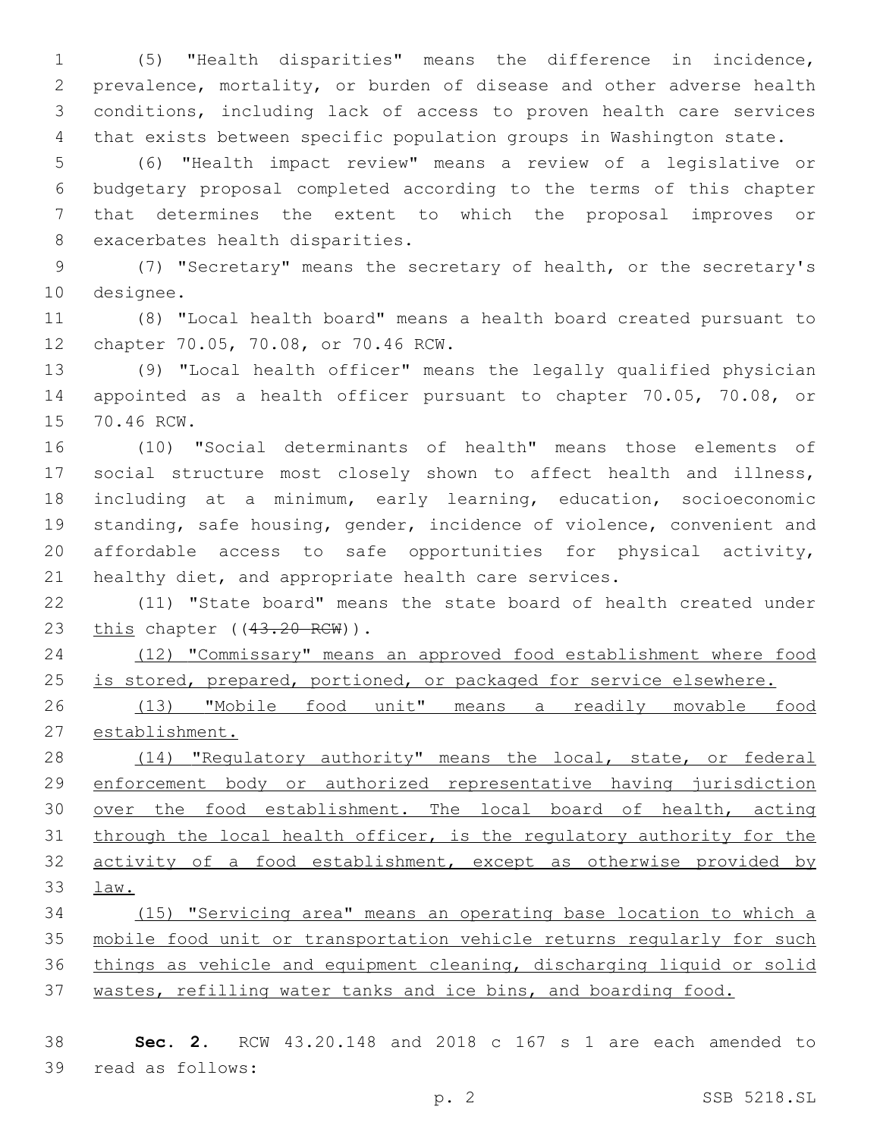(5) "Health disparities" means the difference in incidence, prevalence, mortality, or burden of disease and other adverse health conditions, including lack of access to proven health care services that exists between specific population groups in Washington state.

 (6) "Health impact review" means a review of a legislative or budgetary proposal completed according to the terms of this chapter that determines the extent to which the proposal improves or 8 exacerbates health disparities.

 (7) "Secretary" means the secretary of health, or the secretary's 10 designee.

 (8) "Local health board" means a health board created pursuant to 12 chapter 70.05, 70.08, or 70.46 RCW.

 (9) "Local health officer" means the legally qualified physician appointed as a health officer pursuant to chapter 70.05, 70.08, or 15 70.46 RCW.

 (10) "Social determinants of health" means those elements of social structure most closely shown to affect health and illness, including at a minimum, early learning, education, socioeconomic standing, safe housing, gender, incidence of violence, convenient and affordable access to safe opportunities for physical activity, 21 healthy diet, and appropriate health care services.

 (11) "State board" means the state board of health created under 23 this chapter ((43.20 RCW)).

 (12) "Commissary" means an approved food establishment where food 25 is stored, prepared, portioned, or packaged for service elsewhere.

 (13) "Mobile food unit" means a readily movable food establishment.

28 (14) "Regulatory authority" means the local, state, or federal enforcement body or authorized representative having jurisdiction 30 over the food establishment. The local board of health, acting through the local health officer, is the regulatory authority for the 32 activity of a food establishment, except as otherwise provided by law.

 (15) "Servicing area" means an operating base location to which a mobile food unit or transportation vehicle returns regularly for such things as vehicle and equipment cleaning, discharging liquid or solid wastes, refilling water tanks and ice bins, and boarding food.

 **Sec. 2.** RCW 43.20.148 and 2018 c 167 s 1 are each amended to 39 read as follows: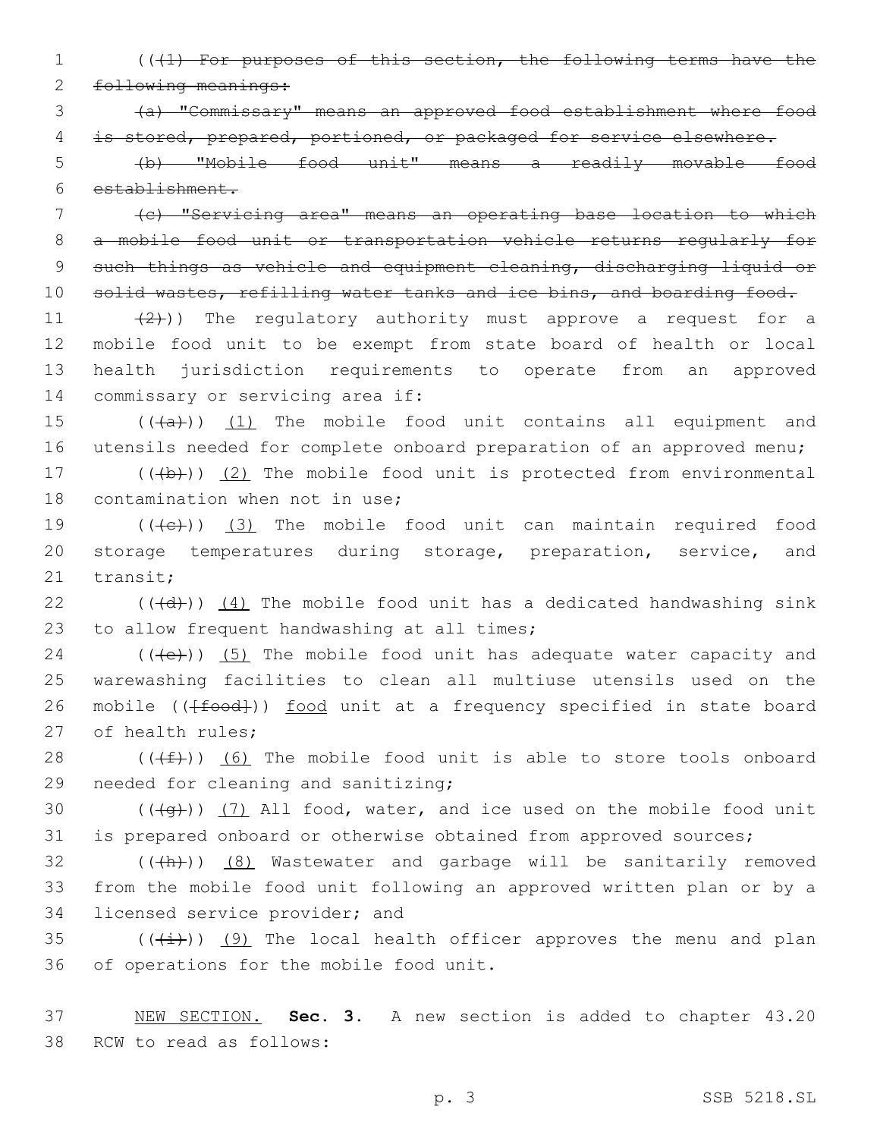1 (((1) For purposes of this section, the following terms have the 2 following meanings:

3 (a) "Commissary" means an approved food establishment where food 4 is stored, prepared, portioned, or packaged for service elsewhere.

5 (b) "Mobile food unit" means a readily movable food 6 establishment.

 (c) "Servicing area" means an operating base location to which a mobile food unit or transportation vehicle returns regularly for such things as vehicle and equipment cleaning, discharging liquid or 10 solid wastes, refilling water tanks and ice bins, and boarding food.

 $(2)$ )) The regulatory authority must approve a request for a mobile food unit to be exempt from state board of health or local health jurisdiction requirements to operate from an approved 14 commissary or servicing area if:

15  $((+a))$   $(1)$  The mobile food unit contains all equipment and 16 utensils needed for complete onboard preparation of an approved menu;

17  $((+b))$   $(2)$  The mobile food unit is protected from environmental 18 contamination when not in use;

19  $((+e))$   $(3)$  The mobile food unit can maintain required food 20 storage temperatures during storage, preparation, service, and 21 transit;

22  $((\overline{d})) (4)$  The mobile food unit has a dedicated handwashing sink 23 to allow frequent handwashing at all times;

 $24$  (( $\left(\frac{1}{12}\right)$ ) (5) The mobile food unit has adequate water capacity and 25 warewashing facilities to clean all multiuse utensils used on the 26 mobile ((<del>[food]</del>)) food unit at a frequency specified in state board 27 of health rules;

28  $((\text{#}))$  (6) The mobile food unit is able to store tools onboard 29 needed for cleaning and sanitizing;

30  $((+q+))$   $(7)$  All food, water, and ice used on the mobile food unit 31 is prepared onboard or otherwise obtained from approved sources;

32 (((+h)) (8) Wastewater and garbage will be sanitarily removed 33 from the mobile food unit following an approved written plan or by a 34 licensed service provider; and

35  $((\overline{(\dagger)}))(9)$  The local health officer approves the menu and plan 36 of operations for the mobile food unit.

37 NEW SECTION. **Sec. 3.** A new section is added to chapter 43.20 38 RCW to read as follows: